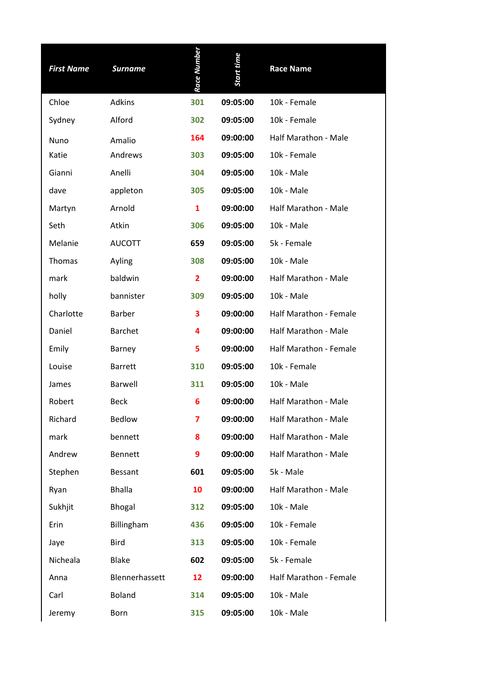| <b>First Name</b> | <b>Surname</b> | Race Number    | Start time | <b>Race Name</b>            |
|-------------------|----------------|----------------|------------|-----------------------------|
| Chloe             | <b>Adkins</b>  | 301            | 09:05:00   | 10k - Female                |
| Sydney            | Alford         | 302            | 09:05:00   | 10k - Female                |
| Nuno              | Amalio         | 164            | 09:00:00   | Half Marathon - Male        |
| Katie             | Andrews        | 303            | 09:05:00   | 10k - Female                |
| Gianni            | Anelli         | 304            | 09:05:00   | 10k - Male                  |
| dave              | appleton       | 305            | 09:05:00   | 10k - Male                  |
| Martyn            | Arnold         | 1              | 09:00:00   | <b>Half Marathon - Male</b> |
| Seth              | Atkin          | 306            | 09:05:00   | 10k - Male                  |
| Melanie           | <b>AUCOTT</b>  | 659            | 09:05:00   | 5k - Female                 |
| Thomas            | Ayling         | 308            | 09:05:00   | 10k - Male                  |
| mark              | baldwin        | $\overline{2}$ | 09:00:00   | Half Marathon - Male        |
| holly             | bannister      | 309            | 09:05:00   | 10k - Male                  |
| Charlotte         | <b>Barber</b>  | 3              | 09:00:00   | Half Marathon - Female      |
| Daniel            | <b>Barchet</b> | 4              | 09:00:00   | Half Marathon - Male        |
| Emily             | Barney         | 5              | 09:00:00   | Half Marathon - Female      |
| Louise            | <b>Barrett</b> | 310            | 09:05:00   | 10k - Female                |
| James             | <b>Barwell</b> | 311            | 09:05:00   | 10k - Male                  |
| Robert            | <b>Beck</b>    | 6              | 09:00:00   | Half Marathon - Male        |
| Richard           | <b>Bedlow</b>  | 7              | 09:00:00   | Half Marathon - Male        |
| mark              | bennett        | 8              | 09:00:00   | Half Marathon - Male        |
| Andrew            | <b>Bennett</b> | 9              | 09:00:00   | Half Marathon - Male        |
| Stephen           | <b>Bessant</b> | 601            | 09:05:00   | 5k - Male                   |
| Ryan              | <b>Bhalla</b>  | 10             | 09:00:00   | Half Marathon - Male        |
| Sukhjit           | <b>Bhogal</b>  | 312            | 09:05:00   | 10k - Male                  |
| Erin              | Billingham     | 436            | 09:05:00   | 10k - Female                |
| Jaye              | <b>Bird</b>    | 313            | 09:05:00   | 10k - Female                |
| Nicheala          | <b>Blake</b>   | 602            | 09:05:00   | 5k - Female                 |
| Anna              | Blennerhassett | 12             | 09:00:00   | Half Marathon - Female      |
| Carl              | <b>Boland</b>  | 314            | 09:05:00   | 10k - Male                  |
| Jeremy            | Born           | 315            | 09:05:00   | 10k - Male                  |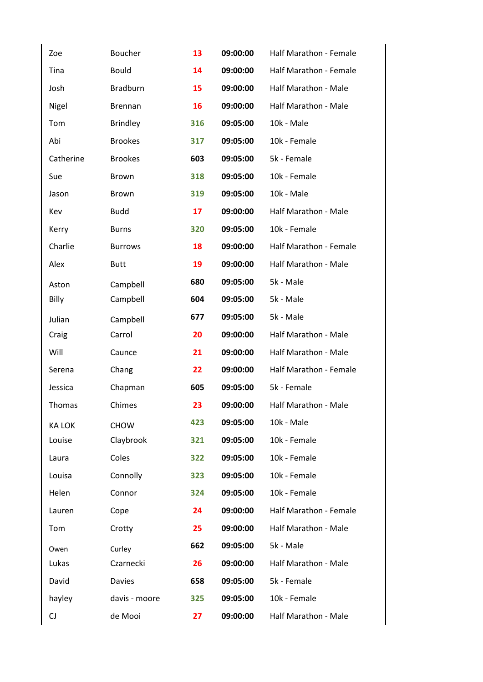| Zoe           | <b>Boucher</b>  | 13  | 09:00:00 | Half Marathon - Female      |
|---------------|-----------------|-----|----------|-----------------------------|
| Tina          | <b>Bould</b>    | 14  | 09:00:00 | Half Marathon - Female      |
| Josh          | <b>Bradburn</b> | 15  | 09:00:00 | Half Marathon - Male        |
| Nigel         | <b>Brennan</b>  | 16  | 09:00:00 | Half Marathon - Male        |
| Tom           | <b>Brindley</b> | 316 | 09:05:00 | 10k - Male                  |
| Abi           | <b>Brookes</b>  | 317 | 09:05:00 | 10k - Female                |
| Catherine     | <b>Brookes</b>  | 603 | 09:05:00 | 5k - Female                 |
| Sue           | <b>Brown</b>    | 318 | 09:05:00 | 10k - Female                |
| Jason         | <b>Brown</b>    | 319 | 09:05:00 | 10k - Male                  |
| Kev           | <b>Budd</b>     | 17  | 09:00:00 | Half Marathon - Male        |
| Kerry         | <b>Burns</b>    | 320 | 09:05:00 | 10k - Female                |
| Charlie       | <b>Burrows</b>  | 18  | 09:00:00 | Half Marathon - Female      |
| Alex          | <b>Butt</b>     | 19  | 09:00:00 | <b>Half Marathon - Male</b> |
| Aston         | Campbell        | 680 | 09:05:00 | 5k - Male                   |
| Billy         | Campbell        | 604 | 09:05:00 | 5k - Male                   |
| Julian        | Campbell        | 677 | 09:05:00 | 5k - Male                   |
| Craig         | Carrol          | 20  | 09:00:00 | Half Marathon - Male        |
| Will          | Caunce          | 21  | 09:00:00 | Half Marathon - Male        |
| Serena        | Chang           | 22  | 09:00:00 | Half Marathon - Female      |
| Jessica       | Chapman         | 605 | 09:05:00 | 5k - Female                 |
| Thomas        | Chimes          | 23  | 09:00:00 | <b>Half Marathon - Male</b> |
| <b>KA LOK</b> | <b>CHOW</b>     | 423 | 09:05:00 | 10k - Male                  |
| Louise        | Claybrook       | 321 | 09:05:00 | 10k - Female                |
| Laura         | Coles           | 322 | 09:05:00 | 10k - Female                |
| Louisa        | Connolly        | 323 | 09:05:00 | 10k - Female                |
| Helen         | Connor          | 324 | 09:05:00 | 10k - Female                |
| Lauren        | Cope            | 24  | 09:00:00 | Half Marathon - Female      |
| Tom           | Crotty          | 25  | 09:00:00 | Half Marathon - Male        |
| Owen          | Curley          | 662 | 09:05:00 | 5k - Male                   |
| Lukas         | Czarnecki       | 26  | 09:00:00 | Half Marathon - Male        |
| David         | <b>Davies</b>   | 658 | 09:05:00 | 5k - Female                 |
| hayley        | davis - moore   | 325 | 09:05:00 | 10k - Female                |
| CJ            | de Mooi         | 27  | 09:00:00 | Half Marathon - Male        |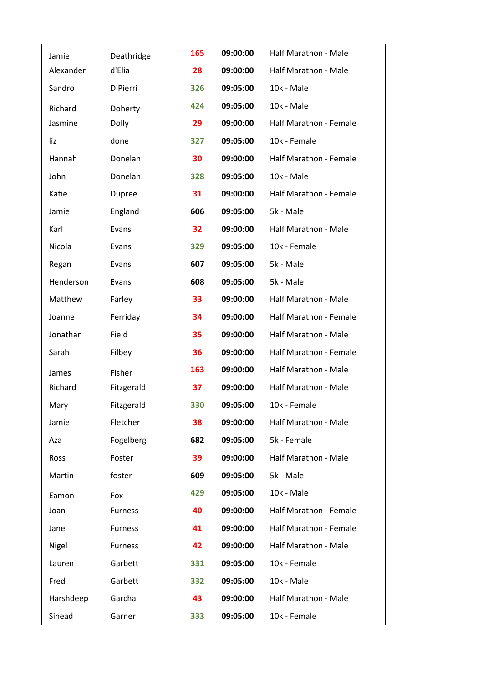| Jamie     | Deathridge     | 165 | 09:00:00 | Half Marathon - Male          |
|-----------|----------------|-----|----------|-------------------------------|
| Alexander | d'Elia         | 28  | 09:00:00 | Half Marathon - Male          |
| Sandro    | DiPierri       | 326 | 09:05:00 | 10k - Male                    |
| Richard   | Doherty        | 424 | 09:05:00 | 10k - Male                    |
| Jasmine   | Dolly          | 29  | 09:00:00 | Half Marathon - Female        |
| liz       | done           | 327 | 09:05:00 | 10k - Female                  |
| Hannah    | Donelan        | 30  | 09:00:00 | <b>Half Marathon - Female</b> |
| John      | Donelan        | 328 | 09:05:00 | 10k - Male                    |
| Katie     | Dupree         | 31  | 09:00:00 | Half Marathon - Female        |
| Jamie     | England        | 606 | 09:05:00 | 5k - Male                     |
| Karl      | Evans          | 32  | 09:00:00 | Half Marathon - Male          |
| Nicola    | Evans          | 329 | 09:05:00 | 10k - Female                  |
| Regan     | Evans          | 607 | 09:05:00 | 5k - Male                     |
| Henderson | Evans          | 608 | 09:05:00 | 5k - Male                     |
| Matthew   | Farley         | 33  | 09:00:00 | Half Marathon - Male          |
| Joanne    | Ferriday       | 34  | 09:00:00 | Half Marathon - Female        |
| Jonathan  | Field          | 35  | 09:00:00 | Half Marathon - Male          |
| Sarah     | Filbey         | 36  | 09:00:00 | Half Marathon - Female        |
| James     | Fisher         | 163 | 09:00:00 | Half Marathon - Male          |
| Richard   | Fitzgerald     | 37  | 09:00:00 | Half Marathon - Male          |
| Mary      | Fitzgerald     | 330 | 09:05:00 | 10k - Female                  |
| Jamie     | Fletcher       | 38  | 09:00:00 | Half Marathon - Male          |
| Aza       | Fogelberg      | 682 | 09:05:00 | 5k - Female                   |
| Ross      | Foster         | 39  | 09:00:00 | Half Marathon - Male          |
| Martin    | foster         | 609 | 09:05:00 | 5k - Male                     |
| Eamon     | Fox            | 429 | 09:05:00 | 10k - Male                    |
| Joan      | <b>Furness</b> | 40  | 09:00:00 | Half Marathon - Female        |
| Jane      | <b>Furness</b> | 41  | 09:00:00 | Half Marathon - Female        |
| Nigel     | <b>Furness</b> | 42  | 09:00:00 | Half Marathon - Male          |
| Lauren    | Garbett        | 331 | 09:05:00 | 10k - Female                  |
| Fred      | Garbett        | 332 | 09:05:00 | 10k - Male                    |
| Harshdeep | Garcha         | 43  | 09:00:00 | Half Marathon - Male          |
| Sinead    | Garner         | 333 | 09:05:00 | 10k - Female                  |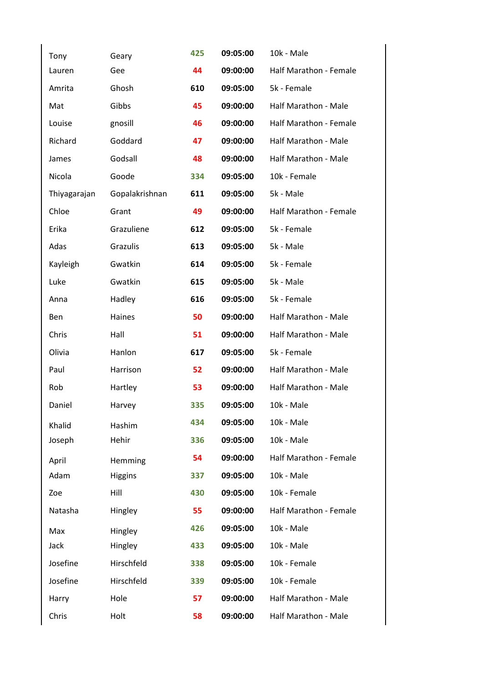| Tony         | Geary          | 425 | 09:05:00 | 10k - Male                  |
|--------------|----------------|-----|----------|-----------------------------|
| Lauren       | Gee            | 44  | 09:00:00 | Half Marathon - Female      |
| Amrita       | Ghosh          | 610 | 09:05:00 | 5k - Female                 |
| Mat          | Gibbs          | 45  | 09:00:00 | Half Marathon - Male        |
| Louise       | gnosill        | 46  | 09:00:00 | Half Marathon - Female      |
| Richard      | Goddard        | 47  | 09:00:00 | Half Marathon - Male        |
| James        | Godsall        | 48  | 09:00:00 | <b>Half Marathon - Male</b> |
| Nicola       | Goode          | 334 | 09:05:00 | 10k - Female                |
| Thiyagarajan | Gopalakrishnan | 611 | 09:05:00 | 5k - Male                   |
| Chloe        | Grant          | 49  | 09:00:00 | Half Marathon - Female      |
| Erika        | Grazuliene     | 612 | 09:05:00 | 5k - Female                 |
| Adas         | Grazulis       | 613 | 09:05:00 | 5k - Male                   |
| Kayleigh     | Gwatkin        | 614 | 09:05:00 | 5k - Female                 |
| Luke         | Gwatkin        | 615 | 09:05:00 | 5k - Male                   |
| Anna         | Hadley         | 616 | 09:05:00 | 5k - Female                 |
| Ben          | Haines         | 50  | 09:00:00 | Half Marathon - Male        |
| Chris        | Hall           | 51  | 09:00:00 | Half Marathon - Male        |
| Olivia       | Hanlon         | 617 | 09:05:00 | 5k - Female                 |
| Paul         | Harrison       | 52  | 09:00:00 | Half Marathon - Male        |
| Rob          | Hartley        | 53  | 09:00:00 | Half Marathon - Male        |
| Daniel       | Harvey         | 335 | 09:05:00 | 10k - Male                  |
| Khalid       | Hashim         | 434 | 09:05:00 | 10k - Male                  |
| Joseph       | Hehir          | 336 | 09:05:00 | 10k - Male                  |
| April        | Hemming        | 54  | 09:00:00 | Half Marathon - Female      |
| Adam         | <b>Higgins</b> | 337 | 09:05:00 | 10k - Male                  |
| Zoe          | Hill           | 430 | 09:05:00 | 10k - Female                |
| Natasha      | Hingley        | 55  | 09:00:00 | Half Marathon - Female      |
| Max          | Hingley        | 426 | 09:05:00 | 10k - Male                  |
| Jack         | Hingley        | 433 | 09:05:00 | 10k - Male                  |
| Josefine     | Hirschfeld     | 338 | 09:05:00 | 10k - Female                |
| Josefine     | Hirschfeld     | 339 | 09:05:00 | 10k - Female                |
| Harry        | Hole           | 57  | 09:00:00 | Half Marathon - Male        |
| Chris        | Holt           | 58  | 09:00:00 | Half Marathon - Male        |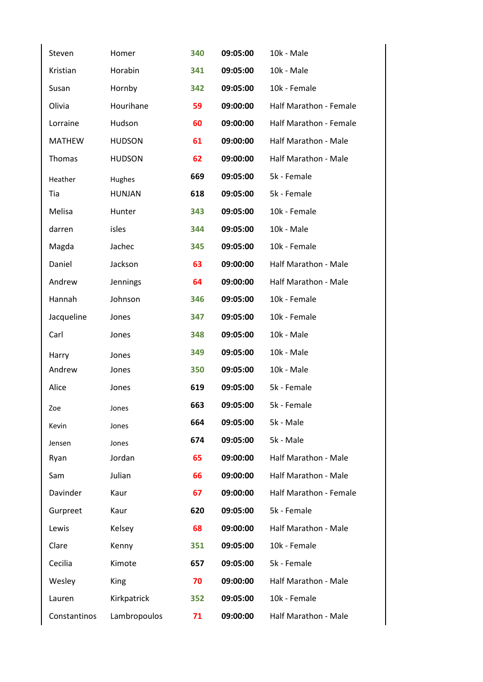| Steven        | Homer         | 340 | 09:05:00 | 10k - Male             |
|---------------|---------------|-----|----------|------------------------|
| Kristian      | Horabin       | 341 | 09:05:00 | 10k - Male             |
| Susan         | Hornby        | 342 | 09:05:00 | 10k - Female           |
| Olivia        | Hourihane     | 59  | 09:00:00 | Half Marathon - Female |
| Lorraine      | Hudson        | 60  | 09:00:00 | Half Marathon - Female |
| <b>MATHEW</b> | <b>HUDSON</b> | 61  | 09:00:00 | Half Marathon - Male   |
| Thomas        | <b>HUDSON</b> | 62  | 09:00:00 | Half Marathon - Male   |
| Heather       | Hughes        | 669 | 09:05:00 | 5k - Female            |
| Tia           | <b>HUNJAN</b> | 618 | 09:05:00 | 5k - Female            |
| Melisa        | Hunter        | 343 | 09:05:00 | 10k - Female           |
| darren        | isles         | 344 | 09:05:00 | 10k - Male             |
| Magda         | Jachec        | 345 | 09:05:00 | 10k - Female           |
| Daniel        | Jackson       | 63  | 09:00:00 | Half Marathon - Male   |
| Andrew        | Jennings      | 64  | 09:00:00 | Half Marathon - Male   |
| Hannah        | Johnson       | 346 | 09:05:00 | 10k - Female           |
| Jacqueline    | Jones         | 347 | 09:05:00 | 10k - Female           |
| Carl          | Jones         | 348 | 09:05:00 | 10k - Male             |
| Harry         | Jones         | 349 | 09:05:00 | 10k - Male             |
| Andrew        | Jones         | 350 | 09:05:00 | 10k - Male             |
| Alice         | Jones         | 619 | 09:05:00 | 5k - Female            |
| Zoe           | Jones         | 663 | 09:05:00 | 5k - Female            |
| Kevin         | Jones         | 664 | 09:05:00 | 5k - Male              |
| Jensen        | Jones         | 674 | 09:05:00 | 5k - Male              |
| Ryan          | Jordan        | 65  | 09:00:00 | Half Marathon - Male   |
| Sam           | Julian        | 66  | 09:00:00 | Half Marathon - Male   |
| Davinder      | Kaur          | 67  | 09:00:00 | Half Marathon - Female |
| Gurpreet      | Kaur          | 620 | 09:05:00 | 5k - Female            |
| Lewis         | Kelsey        | 68  | 09:00:00 | Half Marathon - Male   |
| Clare         | Kenny         | 351 | 09:05:00 | 10k - Female           |
| Cecilia       | Kimote        | 657 | 09:05:00 | 5k - Female            |
| Wesley        | King          | 70  | 09:00:00 | Half Marathon - Male   |
| Lauren        | Kirkpatrick   | 352 | 09:05:00 | 10k - Female           |
| Constantinos  | Lambropoulos  | 71  | 09:00:00 | Half Marathon - Male   |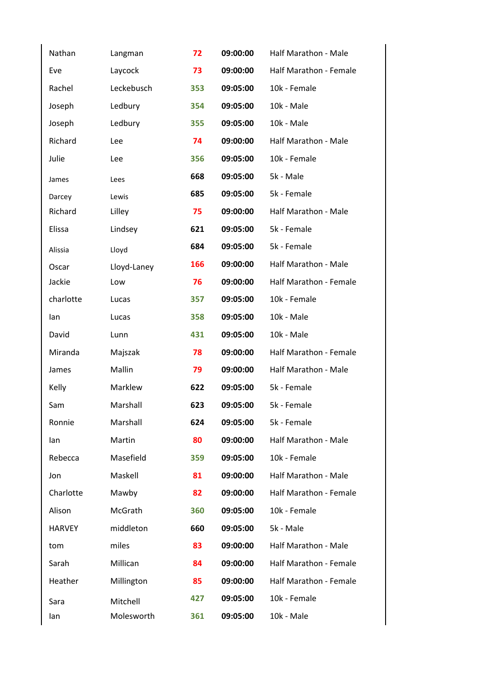| Nathan        | Langman        | 72  | 09:00:00 | Half Marathon - Male        |
|---------------|----------------|-----|----------|-----------------------------|
| Eve           | Laycock        | 73  | 09:00:00 | Half Marathon - Female      |
| Rachel        | Leckebusch     | 353 | 09:05:00 | 10k - Female                |
| Joseph        | Ledbury        | 354 | 09:05:00 | 10k - Male                  |
| Joseph        | Ledbury        | 355 | 09:05:00 | 10k - Male                  |
| Richard       | Lee            | 74  | 09:00:00 | Half Marathon - Male        |
| Julie         | Lee            | 356 | 09:05:00 | 10k - Female                |
| James         | Lees           | 668 | 09:05:00 | 5k - Male                   |
| Darcey        | Lewis          | 685 | 09:05:00 | 5k - Female                 |
| Richard       | Lilley         | 75  | 09:00:00 | <b>Half Marathon - Male</b> |
| Elissa        | Lindsey        | 621 | 09:05:00 | 5k - Female                 |
| Alissia       | Lloyd          | 684 | 09:05:00 | 5k - Female                 |
| Oscar         | Lloyd-Laney    | 166 | 09:00:00 | Half Marathon - Male        |
| Jackie        | Low            | 76  | 09:00:00 | Half Marathon - Female      |
| charlotte     | Lucas          | 357 | 09:05:00 | 10k - Female                |
| lan           | Lucas          | 358 | 09:05:00 | 10k - Male                  |
| David         | Lunn           | 431 | 09:05:00 | 10k - Male                  |
| Miranda       | Majszak        | 78  | 09:00:00 | Half Marathon - Female      |
| James         | Mallin         | 79  | 09:00:00 | Half Marathon - Male        |
| Kelly         | Marklew        | 622 | 09:05:00 | 5k - Female                 |
| Sam           | Marshall       | 623 | 09:05:00 | 5k - Female                 |
| Ronnie        | Marshall       | 624 | 09:05:00 | 5k - Female                 |
| lan           | Martin         | 80  | 09:00:00 | Half Marathon - Male        |
| Rebecca       | Masefield      | 359 | 09:05:00 | 10k - Female                |
| Jon           | Maskell        | 81  | 09:00:00 | Half Marathon - Male        |
| Charlotte     | Mawby          | 82  | 09:00:00 | Half Marathon - Female      |
| Alison        | <b>McGrath</b> | 360 | 09:05:00 | 10k - Female                |
| <b>HARVEY</b> | middleton      | 660 | 09:05:00 | 5k - Male                   |
| tom           | miles          | 83  | 09:00:00 | Half Marathon - Male        |
| Sarah         | Millican       | 84  | 09:00:00 | Half Marathon - Female      |
| Heather       | Millington     | 85  | 09:00:00 | Half Marathon - Female      |
| Sara          | Mitchell       | 427 | 09:05:00 | 10k - Female                |
| lan           | Molesworth     | 361 | 09:05:00 | 10k - Male                  |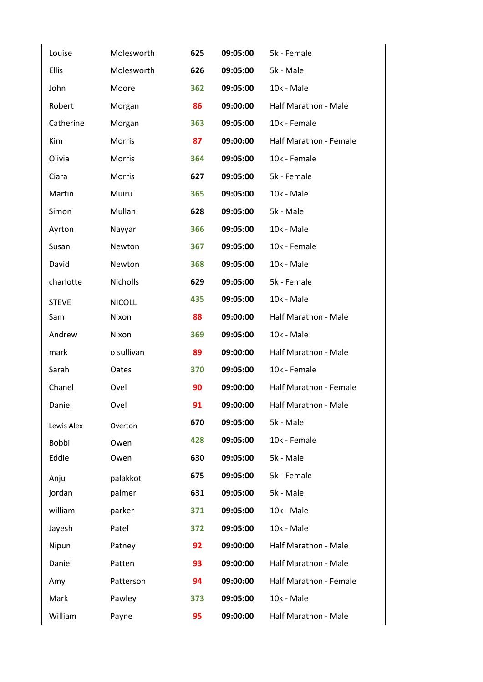| Louise       | Molesworth    | 625 | 09:05:00 | 5k - Female            |
|--------------|---------------|-----|----------|------------------------|
| <b>Ellis</b> | Molesworth    | 626 | 09:05:00 | 5k - Male              |
| John         | Moore         | 362 | 09:05:00 | 10k - Male             |
| Robert       | Morgan        | 86  | 09:00:00 | Half Marathon - Male   |
| Catherine    | Morgan        | 363 | 09:05:00 | 10k - Female           |
| Kim          | <b>Morris</b> | 87  | 09:00:00 | Half Marathon - Female |
| Olivia       | Morris        | 364 | 09:05:00 | 10k - Female           |
| Ciara        | Morris        | 627 | 09:05:00 | 5k - Female            |
| Martin       | Muiru         | 365 | 09:05:00 | 10k - Male             |
| Simon        | Mullan        | 628 | 09:05:00 | 5k - Male              |
| Ayrton       | Nayyar        | 366 | 09:05:00 | 10k - Male             |
| Susan        | Newton        | 367 | 09:05:00 | 10k - Female           |
| David        | Newton        | 368 | 09:05:00 | 10k - Male             |
| charlotte    | Nicholls      | 629 | 09:05:00 | 5k - Female            |
| <b>STEVE</b> | <b>NICOLL</b> | 435 | 09:05:00 | 10k - Male             |
| Sam          | Nixon         | 88  | 09:00:00 | Half Marathon - Male   |
| Andrew       | Nixon         | 369 | 09:05:00 | 10k - Male             |
| mark         | o sullivan    | 89  | 09:00:00 | Half Marathon - Male   |
| Sarah        | Oates         | 370 | 09:05:00 | 10k - Female           |
| Chanel       | Ovel          | 90  | 09:00:00 | Half Marathon - Female |
| Daniel       | Ovel          | 91  | 09:00:00 | Half Marathon - Male   |
| Lewis Alex   | Overton       | 670 | 09:05:00 | 5k - Male              |
| <b>Bobbi</b> | Owen          | 428 | 09:05:00 | 10k - Female           |
| Eddie        | Owen          | 630 | 09:05:00 | 5k - Male              |
| Anju         | palakkot      | 675 | 09:05:00 | 5k - Female            |
| jordan       | palmer        | 631 | 09:05:00 | 5k - Male              |
| william      | parker        | 371 | 09:05:00 | 10k - Male             |
| Jayesh       | Patel         | 372 | 09:05:00 | 10k - Male             |
| Nipun        | Patney        | 92  | 09:00:00 | Half Marathon - Male   |
| Daniel       | Patten        | 93  | 09:00:00 | Half Marathon - Male   |
| Amy          | Patterson     | 94  | 09:00:00 | Half Marathon - Female |
| Mark         | Pawley        | 373 | 09:05:00 | 10k - Male             |
| William      | Payne         | 95  | 09:00:00 | Half Marathon - Male   |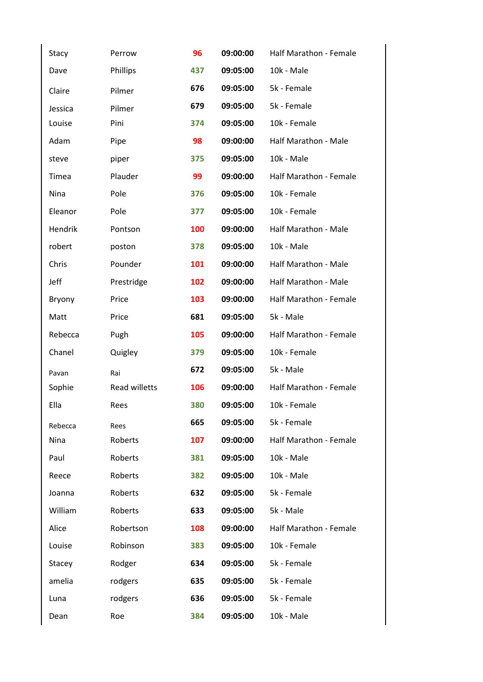| Stacy   | Perrow               | 96  | 09:00:00 | Half Marathon - Female      |
|---------|----------------------|-----|----------|-----------------------------|
| Dave    | Phillips             | 437 | 09:05:00 | 10k - Male                  |
| Claire  | Pilmer               | 676 | 09:05:00 | 5k - Female                 |
| Jessica | Pilmer               | 679 | 09:05:00 | 5k - Female                 |
| Louise  | Pini                 | 374 | 09:05:00 | 10k - Female                |
| Adam    | Pipe                 | 98  | 09:00:00 | Half Marathon - Male        |
| steve   | piper                | 375 | 09:05:00 | 10k - Male                  |
| Timea   | Plauder              | 99  | 09:00:00 | Half Marathon - Female      |
| Nina    | Pole                 | 376 | 09:05:00 | 10k - Female                |
| Eleanor | Pole                 | 377 | 09:05:00 | 10k - Female                |
| Hendrik | Pontson              | 100 | 09:00:00 | <b>Half Marathon - Male</b> |
| robert  | poston               | 378 | 09:05:00 | 10k - Male                  |
| Chris   | Pounder              | 101 | 09:00:00 | Half Marathon - Male        |
| Jeff    | Prestridge           | 102 | 09:00:00 | Half Marathon - Male        |
| Bryony  | Price                | 103 | 09:00:00 | Half Marathon - Female      |
| Matt    | Price                | 681 | 09:05:00 | 5k - Male                   |
| Rebecca | Pugh                 | 105 | 09:00:00 | Half Marathon - Female      |
| Chanel  | Quigley              | 379 | 09:05:00 | 10k - Female                |
| Pavan   | Rai                  | 672 | 09:05:00 | 5k - Male                   |
| Sophie  | <b>Read willetts</b> | 106 | 09:00:00 | Half Marathon - Female      |
| Ella    | Rees                 | 380 | 09:05:00 | 10k - Female                |
| Rebecca | Rees                 | 665 | 09:05:00 | 5k - Female                 |
| Nina    | Roberts              | 107 | 09:00:00 | Half Marathon - Female      |
| Paul    | Roberts              | 381 | 09:05:00 | 10k - Male                  |
| Reece   | Roberts              | 382 | 09:05:00 | 10k - Male                  |
| Joanna  | Roberts              | 632 | 09:05:00 | 5k - Female                 |
| William | Roberts              | 633 | 09:05:00 | 5k - Male                   |
| Alice   | Robertson            | 108 | 09:00:00 | Half Marathon - Female      |
| Louise  | Robinson             | 383 | 09:05:00 | 10k - Female                |
| Stacey  | Rodger               | 634 | 09:05:00 | 5k - Female                 |
| amelia  | rodgers              | 635 | 09:05:00 | 5k - Female                 |
| Luna    | rodgers              | 636 | 09:05:00 | 5k - Female                 |
| Dean    | Roe                  | 384 | 09:05:00 | 10k - Male                  |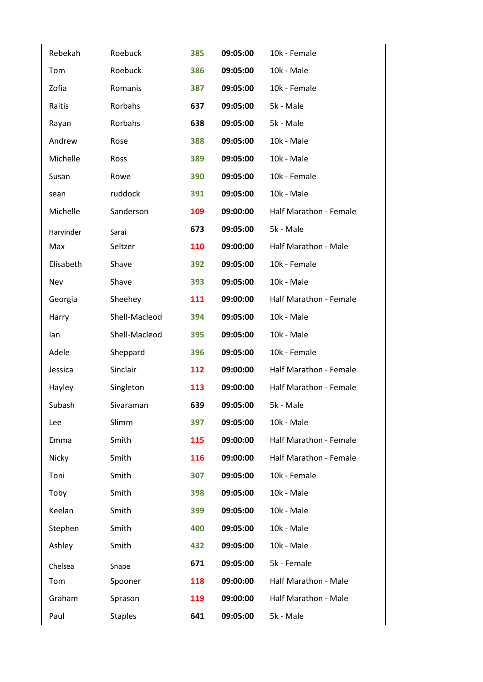| Rebekah   | Roebuck        | 385 | 09:05:00 | 10k - Female           |
|-----------|----------------|-----|----------|------------------------|
| Tom       | Roebuck        | 386 | 09:05:00 | 10k - Male             |
| Zofia     | Romanis        | 387 | 09:05:00 | 10k - Female           |
| Raitis    | Rorbahs        | 637 | 09:05:00 | 5k - Male              |
| Rayan     | Rorbahs        | 638 | 09:05:00 | 5k - Male              |
| Andrew    | Rose           | 388 | 09:05:00 | 10k - Male             |
| Michelle  | Ross           | 389 | 09:05:00 | 10k - Male             |
| Susan     | Rowe           | 390 | 09:05:00 | 10k - Female           |
| sean      | ruddock        | 391 | 09:05:00 | 10k - Male             |
| Michelle  | Sanderson      | 109 | 09:00:00 | Half Marathon - Female |
| Harvinder | Sarai          | 673 | 09:05:00 | 5k - Male              |
| Max       | Seltzer        | 110 | 09:00:00 | Half Marathon - Male   |
| Elisabeth | Shave          | 392 | 09:05:00 | 10k - Female           |
| Nev       | Shave          | 393 | 09:05:00 | 10k - Male             |
| Georgia   | Sheehey        | 111 | 09:00:00 | Half Marathon - Female |
| Harry     | Shell-Macleod  | 394 | 09:05:00 | 10k - Male             |
| lan       | Shell-Macleod  | 395 | 09:05:00 | 10k - Male             |
| Adele     | Sheppard       | 396 | 09:05:00 | 10k - Female           |
| Jessica   | Sinclair       | 112 | 09:00:00 | Half Marathon - Female |
| Hayley    | Singleton      | 113 | 09:00:00 | Half Marathon - Female |
| Subash    | Sivaraman      | 639 | 09:05:00 | 5k - Male              |
| Lee       | Slimm          | 397 | 09:05:00 | 10k - Male             |
| Emma      | Smith          | 115 | 09:00:00 | Half Marathon - Female |
| Nicky     | Smith          | 116 | 09:00:00 | Half Marathon - Female |
| Toni      | Smith          | 307 | 09:05:00 | 10k - Female           |
| Toby      | Smith          | 398 | 09:05:00 | 10k - Male             |
| Keelan    | Smith          | 399 | 09:05:00 | 10k - Male             |
| Stephen   | Smith          | 400 | 09:05:00 | 10k - Male             |
| Ashley    | Smith          | 432 | 09:05:00 | 10k - Male             |
| Chelsea   | Snape          | 671 | 09:05:00 | 5k - Female            |
| Tom       | Spooner        | 118 | 09:00:00 | Half Marathon - Male   |
| Graham    | Sprason        | 119 | 09:00:00 | Half Marathon - Male   |
| Paul      | <b>Staples</b> | 641 | 09:05:00 | 5k - Male              |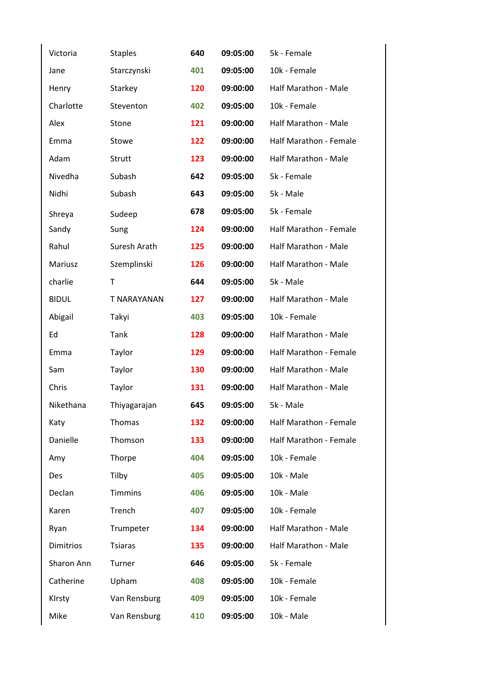| Victoria         | <b>Staples</b> | 640 | 09:05:00 | 5k - Female            |
|------------------|----------------|-----|----------|------------------------|
| Jane             | Starczynski    | 401 | 09:05:00 | 10k - Female           |
| Henry            | Starkey        | 120 | 09:00:00 | Half Marathon - Male   |
| Charlotte        | Steventon      | 402 | 09:05:00 | 10k - Female           |
| Alex             | Stone          | 121 | 09:00:00 | Half Marathon - Male   |
| Emma             | Stowe          | 122 | 09:00:00 | Half Marathon - Female |
| Adam             | Strutt         | 123 | 09:00:00 | Half Marathon - Male   |
| Nivedha          | Subash         | 642 | 09:05:00 | 5k - Female            |
| Nidhi            | Subash         | 643 | 09:05:00 | 5k - Male              |
| Shreya           | Sudeep         | 678 | 09:05:00 | 5k - Female            |
| Sandy            | Sung           | 124 | 09:00:00 | Half Marathon - Female |
| Rahul            | Suresh Arath   | 125 | 09:00:00 | Half Marathon - Male   |
| Mariusz          | Szemplinski    | 126 | 09:00:00 | Half Marathon - Male   |
| charlie          | T              | 644 | 09:05:00 | 5k - Male              |
| <b>BIDUL</b>     | T NARAYANAN    | 127 | 09:00:00 | Half Marathon - Male   |
| Abigail          | Takyi          | 403 | 09:05:00 | 10k - Female           |
| Ed               | Tank           | 128 | 09:00:00 | Half Marathon - Male   |
| Emma             | Taylor         | 129 | 09:00:00 | Half Marathon - Female |
| Sam              | Taylor         | 130 | 09:00:00 | Half Marathon - Male   |
| Chris            | Taylor         | 131 | 09:00:00 | Half Marathon - Male   |
| Nikethana        | Thiyagarajan   | 645 | 09:05:00 | 5k - Male              |
| Katy             | Thomas         | 132 | 09:00:00 | Half Marathon - Female |
| Danielle         | Thomson        | 133 | 09:00:00 | Half Marathon - Female |
| Amy              | Thorpe         | 404 | 09:05:00 | 10k - Female           |
| <b>Des</b>       | Tilby          | 405 | 09:05:00 | 10k - Male             |
| Declan           | <b>Timmins</b> | 406 | 09:05:00 | 10k - Male             |
| Karen            | Trench         | 407 | 09:05:00 | 10k - Female           |
| Ryan             | Trumpeter      | 134 | 09:00:00 | Half Marathon - Male   |
| <b>Dimitrios</b> | <b>Tsiaras</b> | 135 | 09:00:00 | Half Marathon - Male   |
| Sharon Ann       | Turner         | 646 | 09:05:00 | 5k - Female            |
| Catherine        | Upham          | 408 | 09:05:00 | 10k - Female           |
| KIrsty           | Van Rensburg   | 409 | 09:05:00 | 10k - Female           |
| Mike             | Van Rensburg   | 410 | 09:05:00 | 10k - Male             |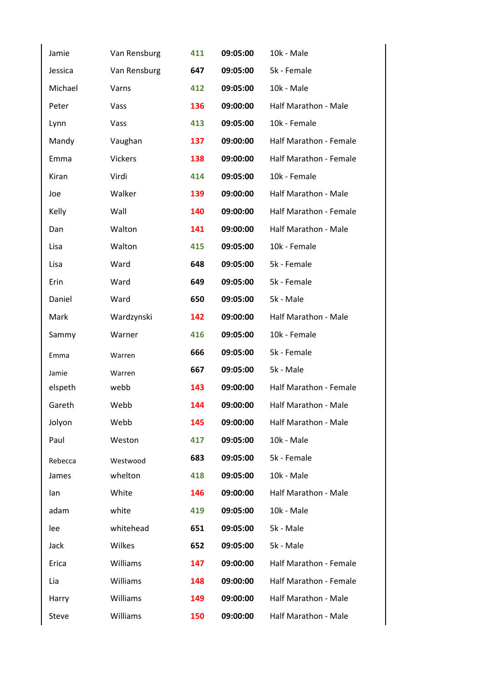| Jamie   | Van Rensburg   | 411 | 09:05:00 | 10k - Male                  |
|---------|----------------|-----|----------|-----------------------------|
| Jessica | Van Rensburg   | 647 | 09:05:00 | 5k - Female                 |
| Michael | Varns          | 412 | 09:05:00 | 10k - Male                  |
| Peter   | Vass           | 136 | 09:00:00 | Half Marathon - Male        |
| Lynn    | Vass           | 413 | 09:05:00 | 10k - Female                |
| Mandy   | Vaughan        | 137 | 09:00:00 | Half Marathon - Female      |
| Emma    | <b>Vickers</b> | 138 | 09:00:00 | Half Marathon - Female      |
| Kiran   | Virdi          | 414 | 09:05:00 | 10k - Female                |
| Joe     | Walker         | 139 | 09:00:00 | Half Marathon - Male        |
| Kelly   | Wall           | 140 | 09:00:00 | Half Marathon - Female      |
| Dan     | Walton         | 141 | 09:00:00 | Half Marathon - Male        |
| Lisa    | Walton         | 415 | 09:05:00 | 10k - Female                |
| Lisa    | Ward           | 648 | 09:05:00 | 5k - Female                 |
| Erin    | Ward           | 649 | 09:05:00 | 5k - Female                 |
| Daniel  | Ward           | 650 | 09:05:00 | 5k - Male                   |
| Mark    | Wardzynski     | 142 | 09:00:00 | Half Marathon - Male        |
| Sammy   | Warner         | 416 | 09:05:00 | 10k - Female                |
| Emma    | Warren         | 666 | 09:05:00 | 5k - Female                 |
| Jamie   | Warren         | 667 | 09:05:00 | 5k - Male                   |
| elspeth | webb           | 143 | 09:00:00 | Half Marathon - Female      |
| Gareth  | Webb           | 144 | 09:00:00 | Half Marathon - Male        |
| Jolyon  | Webb           | 145 | 09:00:00 | <b>Half Marathon - Male</b> |
| Paul    | Weston         | 417 | 09:05:00 | 10k - Male                  |
| Rebecca | Westwood       | 683 | 09:05:00 | 5k - Female                 |
| James   | whelton        | 418 | 09:05:00 | 10k - Male                  |
| lan     | White          | 146 | 09:00:00 | Half Marathon - Male        |
| adam    | white          | 419 | 09:05:00 | 10k - Male                  |
| lee     | whitehead      | 651 | 09:05:00 | 5k - Male                   |
| Jack    | Wilkes         | 652 | 09:05:00 | 5k - Male                   |
| Erica   | Williams       | 147 | 09:00:00 | Half Marathon - Female      |
| Lia     | Williams       | 148 | 09:00:00 | Half Marathon - Female      |
| Harry   | Williams       | 149 | 09:00:00 | Half Marathon - Male        |
| Steve   | Williams       | 150 | 09:00:00 | Half Marathon - Male        |